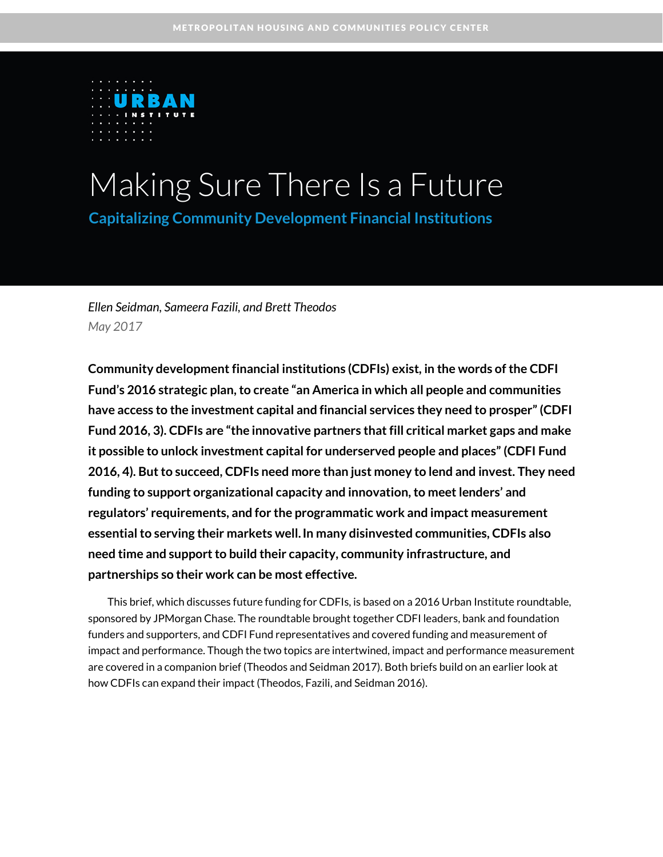

# Making Sure There Is a Future

**Capitalizing Community Development Financial Institutions** 

*Ellen Seidman, Sameera Fazili, and Brett Theodos May 2017*

**Community development financial institutions (CDFIs) exist, in the words of the CDFI Fund's 2016 strategic plan, to create "an America in which all people and communities have access to the investment capital and financial services they need to prosper"(CDFI Fund 2016, 3). CDFIs are "the innovative partners that fill critical market gaps and make it possible to unlock investment capital for underserved people and places" (CDFI Fund 2016, 4). But to succeed, CDFIs need more than just money to lend and invest. They need funding to support organizational capacity and innovation, to meet lenders' and regulators' requirements, and for the programmatic work and impact measurement essential to serving their markets well.In many disinvested communities, CDFIs also need time and support to build their capacity, community infrastructure, and partnerships so their work can be most effective.**

This brief, which discusses future funding for CDFIs, is based on a 2016 Urban Institute roundtable, sponsored by JPMorgan Chase. The roundtable brought together CDFI leaders, bank and foundation funders and supporters, and CDFI Fund representatives and covered funding and measurement of impact and performance. Though the two topics are intertwined, impact and performance measurement are covered in a companion brief (Theodos and Seidman 2017). Both briefs build on an earlier look at how CDFIs can expand their impact (Theodos, Fazili, and Seidman 2016).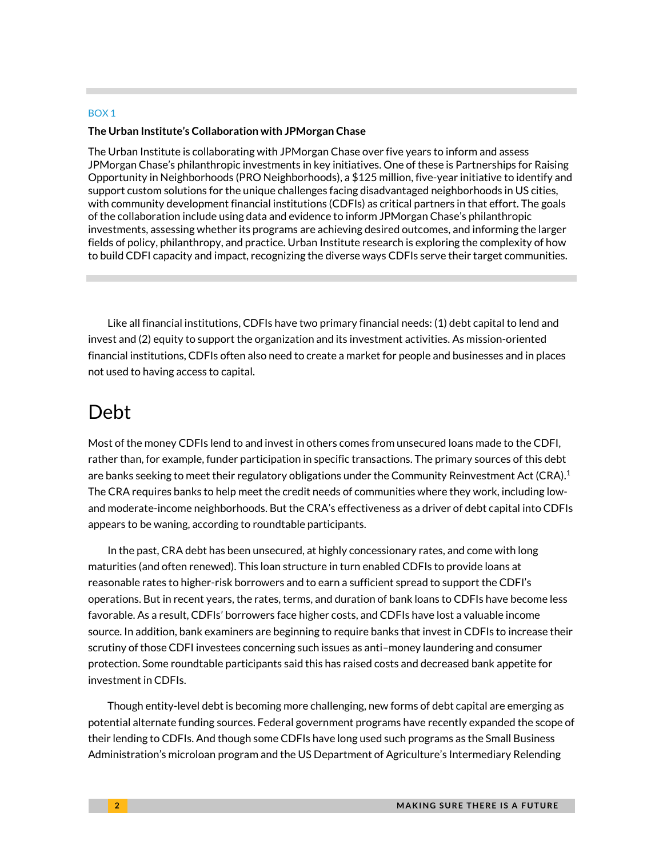#### BOX 1

#### **The Urban Institute's Collaboration with JPMorgan Chase**

The Urban Institute is collaborating with JPMorgan Chase over five years to inform and assess JPMorgan Chase's philanthropic investments in key initiatives. One of these is Partnerships for Raising Opportunity in Neighborhoods (PRO Neighborhoods), a \$125 million, five-year initiative to identify and support custom solutions for the unique challenges facing disadvantaged neighborhoods in US cities, with community development financial institutions (CDFIs) as critical partners in that effort. The goals of the collaboration include using data and evidence to inform JPMorgan Chase's philanthropic investments, assessing whether its programs are achieving desired outcomes, and informing the larger fields of policy, philanthropy, and practice. Urban Institute research is exploring the complexity of how to build CDFI capacity and impact, recognizing the diverse ways CDFIs serve their target communities.

Like all financial institutions, CDFIs have two primary financial needs: (1) debt capital to lend and invest and (2) equity to support the organization and its investment activities. As mission-oriented financial institutions, CDFIs often also need to create a market for people and businesses and in places not used to having access to capital.

### Debt

Most of the money CDFIs lend to and invest in others comes from unsecured loans made to the CDFI, rather than, for example, funder participation in specific transactions. The primary sources of this debt are banks seeking to meet their regulatory obligations under the Community Reinvestment Act (CRA). $^1$ The CRA requires banks to help meet the credit needs of communities where they work, including lowand moderate-income neighborhoods. But the CRA's effectiveness as a driver of debt capital into CDFIs appears to be waning, according to roundtable participants.

In the past, CRA debt has been unsecured, at highly concessionary rates, and come with long maturities (and often renewed). This loan structure in turn enabled CDFIs to provide loans at reasonable rates to higher-risk borrowers and to earn a sufficient spread to support the CDFI's operations. But in recent years, the rates, terms, and duration of bank loans to CDFIs have become less favorable. As a result, CDFIs' borrowers face higher costs, and CDFIs have lost a valuable income source. In addition, bank examiners are beginning to require banks that invest in CDFIs to increase their scrutiny of those CDFI investees concerning such issues as anti–money laundering and consumer protection. Some roundtable participants said this has raised costs and decreased bank appetite for investment in CDFIs.

Though entity-level debt is becoming more challenging, new forms of debt capital are emerging as potential alternate funding sources. Federal government programs have recently expanded the scope of their lending to CDFIs. And though some CDFIs have long used such programs as the Small Business Administration's microloan program and the US Department of Agriculture's Intermediary Relending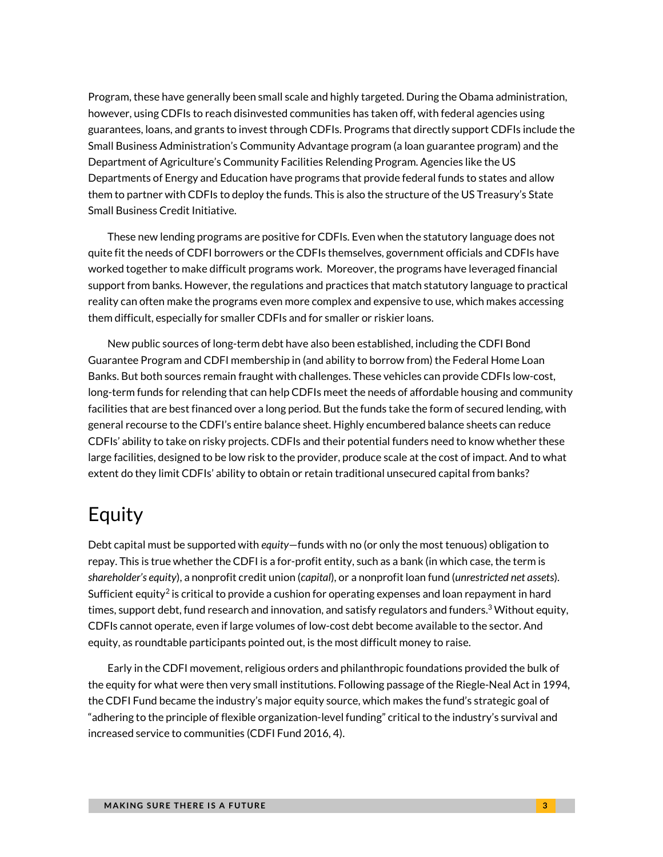Program, these have generally been small scale and highly targeted. During the Obama administration, however, using CDFIs to reach disinvested communities has taken off, with federal agencies using guarantees, loans, and grants to invest through CDFIs. Programs that directly support CDFIs include the Small Business Administration's Community Advantage program (a loan guarantee program) and the Department of Agriculture's Community Facilities Relending Program. Agencies like the US Departments of Energy and Education have programs that provide federal funds to states and allow them to partner with CDFIs to deploy the funds. This is also the structure of the US Treasury's State Small Business Credit Initiative.

These new lending programs are positive for CDFIs. Even when the statutory language does not quite fit the needs of CDFI borrowers or the CDFIs themselves, government officials and CDFIs have worked together to make difficult programs work. Moreover, the programs have leveraged financial support from banks. However, the regulations and practices that match statutory language to practical reality can often make the programs even more complex and expensive to use, which makes accessing them difficult, especially for smaller CDFIs and for smaller or riskier loans.

New public sources of long-term debt have also been established, including the CDFI Bond Guarantee Program and CDFI membership in (and ability to borrow from) the Federal Home Loan Banks. But both sources remain fraught with challenges. These vehicles can provide CDFIs low-cost, long-term funds for relending that can help CDFIs meet the needs of affordable housing and community facilities that are best financed over a long period. But the funds take the form of secured lending, with general recourse to the CDFI's entire balance sheet. Highly encumbered balance sheets can reduce CDFIs' ability to take on risky projects. CDFIs and their potential funders need to know whether these large facilities, designed to be low risk to the provider, produce scale at the cost of impact. And to what extent do they limit CDFIs' ability to obtain or retain traditional unsecured capital from banks?

### Equity

Debt capital must be supported with *equity*—funds with no (or only the most tenuous) obligation to repay. This is true whether the CDFI is a for-profit entity, such as a bank (in which case, the term is *shareholder's equity*), a nonprofit credit union (*capital*), or a nonprofit loan fund (*unrestricted net assets*). Sufficient equity<sup>2</sup> is critical to provide a cushion for operating expenses and loan repayment in hard times, support debt, fund research and innovation, and satisfy regulators and funders.<sup>3</sup> Without equity, CDFIs cannot operate, even if large volumes of low-cost debt become available to the sector. And equity, as roundtable participants pointed out, is the most difficult money to raise.

Early in the CDFI movement, religious orders and philanthropic foundations provided the bulk of the equity for what were then very small institutions. Following passage of the Riegle-Neal Act in 1994, the CDFI Fund became the industry's major equity source, which makes the fund's strategic goal of "adhering to the principle of flexible organization-level funding" critical to the industry's survival and increased service to communities (CDFI Fund 2016, 4).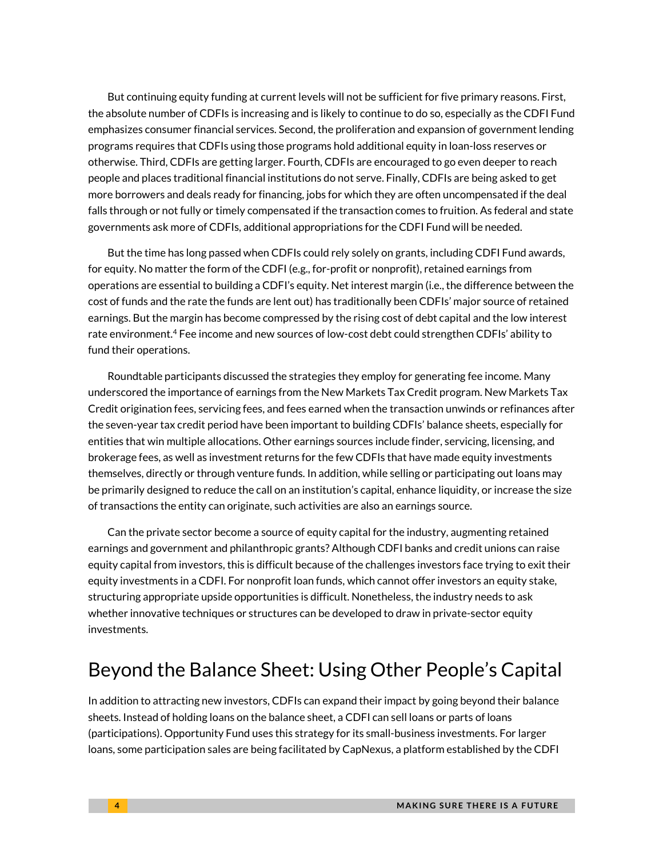But continuing equity funding at current levels will not be sufficient for five primary reasons. First, the absolute number of CDFIs is increasing and is likely to continue to do so, especially as the CDFI Fund emphasizes consumer financial services. Second, the proliferation and expansion of government lending programs requires that CDFIs using those programs hold additional equity in loan-loss reserves or otherwise. Third, CDFIs are getting larger. Fourth, CDFIs are encouraged to go even deeper to reach people and places traditional financial institutions do not serve. Finally, CDFIs are being asked to get more borrowers and deals ready for financing, jobs for which they are often uncompensated if the deal falls through or not fully or timely compensated if the transaction comes to fruition. As federal and state governments ask more of CDFIs, additional appropriations for the CDFI Fund will be needed.

But the time has long passed when CDFIs could rely solely on grants, including CDFI Fund awards, for equity. No matter the form of the CDFI (e.g., for-profit or nonprofit), retained earnings from operations are essential to building a CDFI's equity. Net interest margin (i.e., the difference between the cost of funds and the rate the funds are lent out) has traditionally been CDFIs' major source of retained earnings. But the margin has become compressed by the rising cost of debt capital and the low interest rate environment.<sup>4</sup> Fee income and new sources of low-cost debt could strengthen CDFIs' ability to fund their operations.

Roundtable participants discussed the strategies they employ for generating fee income. Many underscored the importance of earnings from the New Markets Tax Credit program. New Markets Tax Credit origination fees, servicing fees, and fees earned when the transaction unwinds or refinances after the seven-year tax credit period have been important to building CDFIs' balance sheets, especially for entities that win multiple allocations. Other earnings sources include finder, servicing, licensing, and brokerage fees, as well as investment returns for the few CDFIs that have made equity investments themselves, directly or through venture funds. In addition, while selling or participating out loans may be primarily designed to reduce the call on an institution's capital, enhance liquidity, or increase the size of transactions the entity can originate, such activities are also an earnings source.

Can the private sector become a source of equity capital for the industry, augmenting retained earnings and government and philanthropic grants? Although CDFI banks and credit unions can raise equity capital from investors, this is difficult because of the challenges investors face trying to exit their equity investments in a CDFI. For nonprofit loan funds, which cannot offer investors an equity stake, structuring appropriate upside opportunities is difficult. Nonetheless, the industry needs to ask whether innovative techniques or structures can be developed to draw in private-sector equity investments.

### Beyond the Balance Sheet: Using Other People's Capital

In addition to attracting new investors, CDFIs can expand their impact by going beyond their balance sheets. Instead of holding loans on the balance sheet, a CDFI can sell loans or parts of loans (participations). Opportunity Fund uses this strategy for its small-business investments. For larger loans, some participation sales are being facilitated by CapNexus, a platform established by the CDFI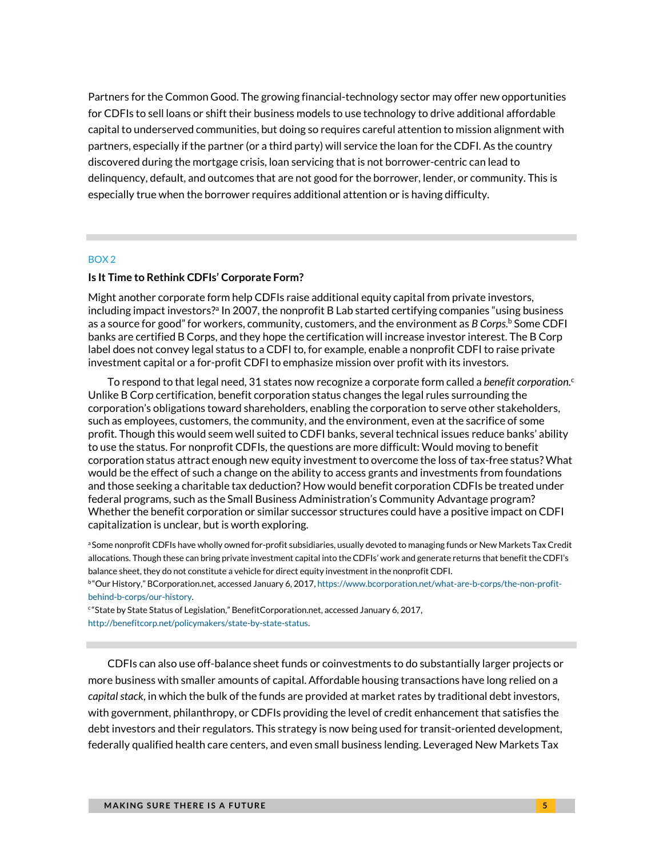Partners for the Common Good. The growing financial-technology sector may offer new opportunities for CDFIs to sell loans or shift their business models to use technology to drive additional affordable capital to underserved communities, but doing so requires careful attention to mission alignment with partners, especially if the partner (or a third party) will service the loan for the CDFI. As the country discovered during the mortgage crisis, loan servicing that is not borrower-centric can lead to delinquency, default, and outcomes that are not good for the borrower, lender, or community. This is especially true when the borrower requires additional attention or is having difficulty.

#### BOX 2

#### **Is It Time to Rethink CDFIs' Corporate Form?**

Might another corporate form help CDFIs raise additional equity capital from private investors, including impact investors?a In 2007, the nonprofit B Lab started certifying companies "using business as a source for good" for workers, community, customers, and the environment as *B Corps*.<sup>b</sup> Some CDFI banks are certified B Corps, and they hope the certification will increase investor interest. The B Corp label does not convey legal status to a CDFI to, for example, enable a nonprofit CDFI to raise private investment capital or a for-profit CDFI to emphasize mission over profit with its investors.

To respond to that legal need, 31 states now recognize a corporate form called a *benefit corporation*. c Unlike B Corp certification, benefit corporation status changes the legal rules surrounding the corporation's obligations toward shareholders, enabling the corporation to serve other stakeholders, such as employees, customers, the community, and the environment, even at the sacrifice of some profit. Though this would seem well suited to CDFI banks, several technical issues reduce banks' ability to use the status. For nonprofit CDFIs, the questions are more difficult: Would moving to benefit corporation status attract enough new equity investment to overcome the loss of tax-free status? What would be the effect of such a change on the ability to access grants and investments from foundations and those seeking a charitable tax deduction? How would benefit corporation CDFIs be treated under federal programs, such as the Small Business Administration's Community Advantage program? Whether the benefit corporation or similar successor structures could have a positive impact on CDFI capitalization is unclear, but is worth exploring.

a Some nonprofit CDFIs have wholly owned for-profit subsidiaries, usually devoted to managing funds or New Markets Tax Credit allocations. Though these can bring private investment capital into the CDFIs' work and generate returns that benefit the CDFI's balance sheet, they do not constitute a vehicle for direct equity investment in the nonprofit CDFI.

b "Our History," BCorporation.net, accessed January 6, 2017[, https://www.bcorporation.net/what-are-b-corps/the-non-profit](https://www.bcorporation.net/what-are-b-corps/the-non-profit-behind-b-corps/our-history)[behind-b-corps/our-history.](https://www.bcorporation.net/what-are-b-corps/the-non-profit-behind-b-corps/our-history)

<sup>c</sup> "State by State Status of Legislation," BenefitCorporation.net, accessed January 6, 2017, [http://benefitcorp.net/policymakers/state-by-state-status.](http://benefitcorp.net/policymakers/state-by-state-status) 

CDFIs can also use off-balance sheet funds or coinvestments to do substantially larger projects or more business with smaller amounts of capital. Affordable housing transactions have long relied on a *capital stack*, in which the bulk of the funds are provided at market rates by traditional debt investors, with government, philanthropy, or CDFIs providing the level of credit enhancement that satisfies the debt investors and their regulators. This strategy is now being used for transit-oriented development, federally qualified health care centers, and even small business lending. Leveraged New Markets Tax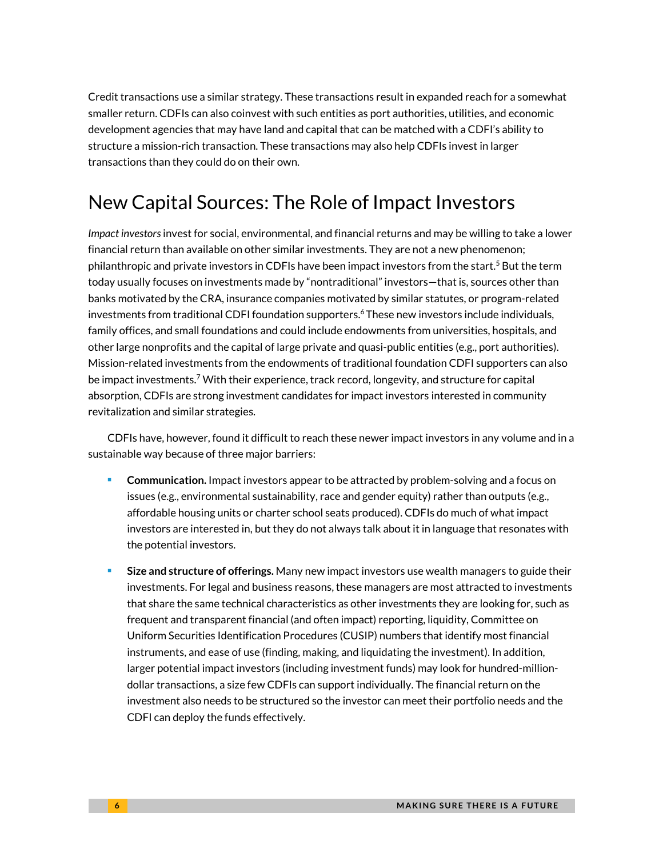Credit transactions use a similar strategy. These transactions result in expanded reach for a somewhat smaller return. CDFIs can also coinvest with such entities as port authorities, utilities, and economic development agencies that may have land and capital that can be matched with a CDFI's ability to structure a mission-rich transaction. These transactions may also help CDFIs invest in larger transactions than they could do on their own.

# New Capital Sources: The Role of Impact Investors

*Impact investors*invest for social, environmental, and financial returns and may be willing to take a lower financial return than available on other similar investments. They are not a new phenomenon; philanthropic and private investors in CDFIs have been impact investors from the start.<sup>5</sup> But the term today usually focuses on investments made by "nontraditional" investors—that is, sources other than banks motivated by the CRA, insurance companies motivated by similar statutes, or program-related investments from traditional CDFI foundation supporters.<sup>6</sup>These new investors include individuals, family offices, and small foundations and could include endowments from universities, hospitals, and other large nonprofits and the capital of large private and quasi-public entities (e.g., port authorities). Mission-related investments from the endowments of traditional foundation CDFI supporters can also be impact investments.<sup>7</sup> With their experience, track record, longevity, and structure for capital absorption, CDFIs are strong investment candidates for impact investors interested in community revitalization and similar strategies.

CDFIs have, however, found it difficult to reach these newer impact investors in any volume and in a sustainable way because of three major barriers:

- **Communication.** Impact investors appear to be attracted by problem-solving and a focus on issues (e.g., environmental sustainability, race and gender equity) rather than outputs (e.g., affordable housing units or charter school seats produced). CDFIs do much of what impact investors are interested in, but they do not always talk about it in language that resonates with the potential investors.
- **Size and structure of offerings.** Many new impact investors use wealth managers to guide their investments. For legal and business reasons, these managers are most attracted to investments that share the same technical characteristics as other investments they are looking for, such as frequent and transparent financial (and often impact) reporting, liquidity, Committee on Uniform Securities Identification Procedures (CUSIP) numbers that identify most financial instruments, and ease of use (finding, making, and liquidating the investment). In addition, larger potential impact investors (including investment funds) may look for hundred-milliondollar transactions, a size few CDFIs can support individually. The financial return on the investment also needs to be structured so the investor can meet their portfolio needs and the CDFI can deploy the funds effectively.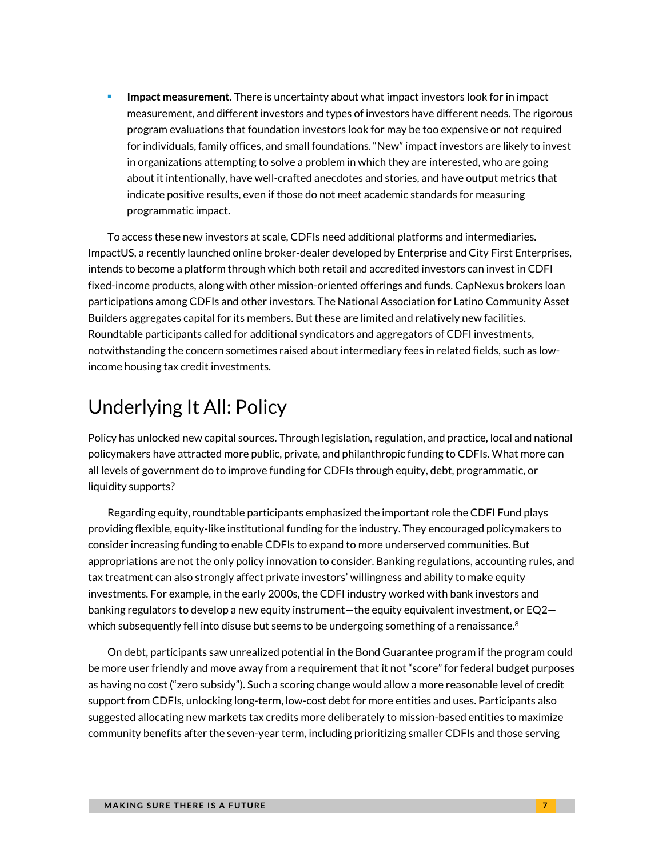**Impact measurement.** There is uncertainty about what impact investors look for in impact measurement, and different investors and types of investors have different needs. The rigorous program evaluations that foundation investors look for may be too expensive or not required for individuals, family offices, and small foundations. "New" impact investors are likely to invest in organizations attempting to solve a problem in which they are interested, who are going about it intentionally, have well-crafted anecdotes and stories, and have output metrics that indicate positive results, even if those do not meet academic standards for measuring programmatic impact.

To access these new investors at scale, CDFIs need additional platforms and intermediaries. ImpactUS, a recently launched online broker-dealer developed by Enterprise and City First Enterprises, intends to become a platform through which both retail and accredited investors can invest in CDFI fixed-income products, along with other mission-oriented offerings and funds. CapNexus brokers loan participations among CDFIs and other investors. The National Association for Latino Community Asset Builders aggregates capital for its members. But these are limited and relatively new facilities. Roundtable participants called for additional syndicators and aggregators of CDFI investments, notwithstanding the concern sometimes raised about intermediary fees in related fields, such as lowincome housing tax credit investments.

# Underlying It All: Policy

Policy has unlocked new capital sources. Through legislation, regulation, and practice, local and national policymakers have attracted more public, private, and philanthropic funding to CDFIs. What more can all levels of government do to improve funding for CDFIs through equity, debt, programmatic, or liquidity supports?

Regarding equity, roundtable participants emphasized the important role the CDFI Fund plays providing flexible, equity-like institutional funding for the industry. They encouraged policymakers to consider increasing funding to enable CDFIs to expand to more underserved communities. But appropriations are not the only policy innovation to consider. Banking regulations, accounting rules, and tax treatment can also strongly affect private investors' willingness and ability to make equity investments. For example, in the early 2000s, the CDFI industry worked with bank investors and banking regulators to develop a new equity instrument—the equity equivalent investment, or EQ2 which subsequently fell into disuse but seems to be undergoing something of a renaissance. $^8$ 

On debt, participants saw unrealized potential in the Bond Guarantee program if the program could be more user friendly and move away from a requirement that it not "score" for federal budget purposes as having no cost ("zero subsidy"). Such a scoring change would allow a more reasonable level of credit support from CDFIs, unlocking long-term, low-cost debt for more entities and uses. Participants also suggested allocating new markets tax credits more deliberately to mission-based entities to maximize community benefits after the seven-year term, including prioritizing smaller CDFIs and those serving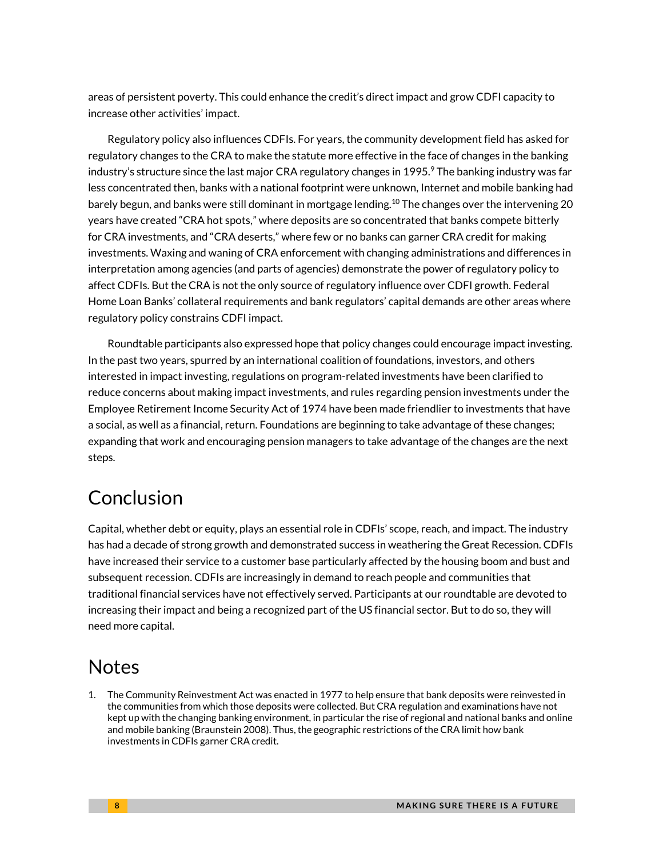areas of persistent poverty. This could enhance the credit's direct impact and grow CDFI capacity to increase other activities' impact.

Regulatory policy also influences CDFIs. For years, the community development field has asked for regulatory changes to the CRA to make the statute more effective in the face of changes in the banking industry's structure since the last major CRA regulatory changes in 1995.<sup>9</sup> The banking industry was far less concentrated then, banks with a national footprint were unknown, Internet and mobile banking had barely begun, and banks were still dominant in mortgage lending. <sup>10</sup> The changes over the intervening 20 years have created "CRA hot spots," where deposits are so concentrated that banks compete bitterly for CRA investments, and "CRA deserts," where few or no banks can garner CRA credit for making investments. Waxing and waning of CRA enforcement with changing administrations and differences in interpretation among agencies (and parts of agencies) demonstrate the power of regulatory policy to affect CDFIs. But the CRA is not the only source of regulatory influence over CDFI growth. Federal Home Loan Banks' collateral requirements and bank regulators' capital demands are other areas where regulatory policy constrains CDFI impact.

Roundtable participants also expressed hope that policy changes could encourage impact investing. In the past two years, spurred by an international coalition of foundations, investors, and others interested in impact investing, regulations on program-related investments have been clarified to reduce concerns about making impact investments, and rules regarding pension investments under the Employee Retirement Income Security Act of 1974 have been made friendlier to investments that have a social, as well as a financial, return. Foundations are beginning to take advantage of these changes; expanding that work and encouraging pension managers to take advantage of the changes are the next steps.

# Conclusion

Capital, whether debt or equity, plays an essential role in CDFIs' scope, reach, and impact. The industry has had a decade of strong growth and demonstrated success in weathering the Great Recession. CDFIs have increased their service to a customer base particularly affected by the housing boom and bust and subsequent recession. CDFIs are increasingly in demand to reach people and communities that traditional financial services have not effectively served. Participants at our roundtable are devoted to increasing their impact and being a recognized part of the US financial sector. But to do so, they will need more capital.

### **Notes**

1. The Community Reinvestment Act was enacted in 1977 to help ensure that bank deposits were reinvested in the communities from which those deposits were collected. But CRA regulation and examinations have not kept up with the changing banking environment, in particular the rise of regional and national banks and online and mobile banking (Braunstein 2008). Thus, the geographic restrictions of the CRA limit how bank investments in CDFIs garner CRA credit.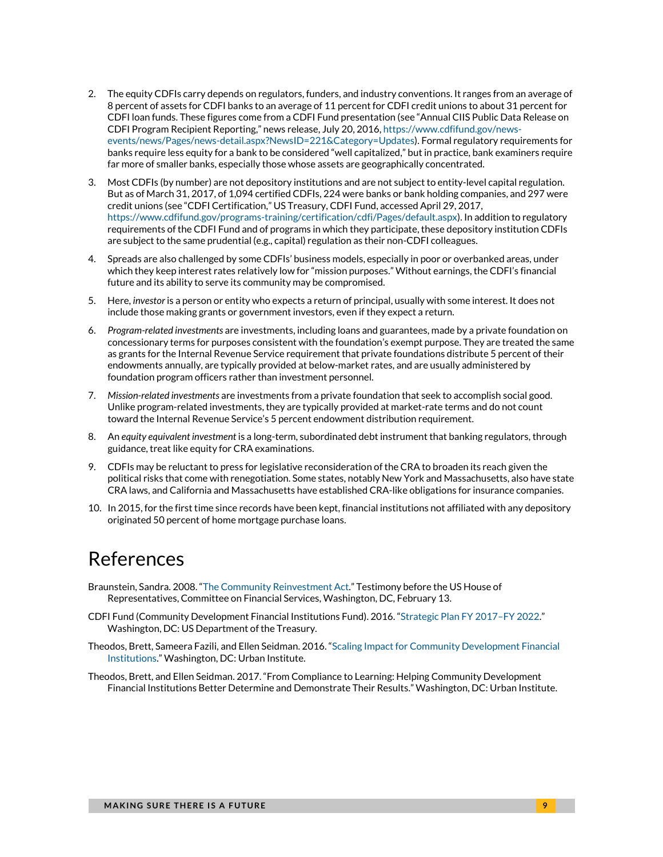- 2. The equity CDFIs carry depends on regulators, funders, and industry conventions. It ranges from an average of 8 percent of assets for CDFI banks to an average of 11 percent for CDFI credit unions to about 31 percent for CDFI loan funds. These figures come from a CDFI Fund presentation (see "Annual CIIS Public Data Release on CDFI Program Recipient Reporting," news release, July 20, 2016, [https://www.cdfifund.gov/news](https://www.cdfifund.gov/news-events/news/Pages/news-detail.aspx?NewsID=221&Category=Updates)[events/news/Pages/news-detail.aspx?NewsID=221&Category=Updates\)](https://www.cdfifund.gov/news-events/news/Pages/news-detail.aspx?NewsID=221&Category=Updates). Formal regulatory requirements for banks require less equity for a bank to be considered "well capitalized," but in practice, bank examiners require far more of smaller banks, especially those whose assets are geographically concentrated.
- 3. Most CDFIs (by number) are not depository institutions and are not subject to entity-level capital regulation. But as of March 31, 2017, of 1,094 certified CDFIs, 224 were banks or bank holding companies, and 297 were credit unions (see "CDFI Certification," US Treasury, CDFI Fund, accessed April 29, 2017, [https://www.cdfifund.gov/programs-training/certification/cdfi/Pages/default.aspx\)](https://www.cdfifund.gov/programs-training/certification/cdfi/Pages/default.aspx). In addition to regulatory requirements of the CDFI Fund and of programs in which they participate, these depository institution CDFIs are subject to the same prudential (e.g., capital) regulation as their non-CDFI colleagues.
- 4. Spreads are also challenged by some CDFIs' business models, especially in poor or overbanked areas, under which they keep interest rates relatively low for "mission purposes." Without earnings, the CDFI's financial future and its ability to serve its community may be compromised.
- 5. Here, *investor* is a person or entity who expects a return of principal, usually with some interest. It does not include those making grants or government investors, even if they expect a return.
- 6. *Program-related investments* are investments, including loans and guarantees, made by a private foundation on concessionary terms for purposes consistent with the foundation's exempt purpose. They are treated the same as grants for the Internal Revenue Service requirement that private foundations distribute 5 percent of their endowments annually, are typically provided at below-market rates, and are usually administered by foundation program officers rather than investment personnel.
- 7. *Mission-related investments* are investments from a private foundation that seek to accomplish social good. Unlike program-related investments, they are typically provided at market-rate terms and do not count toward the Internal Revenue Service's 5 percent endowment distribution requirement.
- 8. An *equity equivalent investment* is a long-term, subordinated debt instrument that banking regulators, through guidance, treat like equity for CRA examinations.
- 9. CDFIs may be reluctant to press for legislative reconsideration of the CRA to broaden its reach given the political risks that come with renegotiation. Some states, notably New York and Massachusetts, also have state CRA laws, and California and Massachusetts have established CRA-like obligations for insurance companies.
- 10. In 2015, for the first time since records have been kept, financial institutions not affiliated with any depository originated 50 percent of home mortgage purchase loans.

### References

- Braunstein, Sandra. 2008. ["The Community Reinvestment Act."](https://www.federalreserve.gov/newsevents/testimony/braunstein20080213a.htm) Testimony before the US House of Representatives, Committee on Financial Services, Washington, DC, February 13.
- CDFI Fund (Community Development Financial Institutions Fund). 2016. ["Strategic Plan FY](https://www.cdfifund.gov/Documents/Final%20Strategic%20Plan%20102516.pdf) 2017–FY 2022." Washington, DC: US Department of the Treasury.
- Theodos, Brett, Sameera Fazili, and Ellen Seidman. 2016. ["Scaling Impact for Community Development Financial](http://urbn.is/2iKAY9k)  [Institutions."](http://urbn.is/2iKAY9k) Washington, DC: Urban Institute.
- Theodos, Brett, and Ellen Seidman. 2017. "From Compliance to Learning: Helping Community Development Financial Institutions Better Determine and Demonstrate Their Results." Washington, DC: Urban Institute.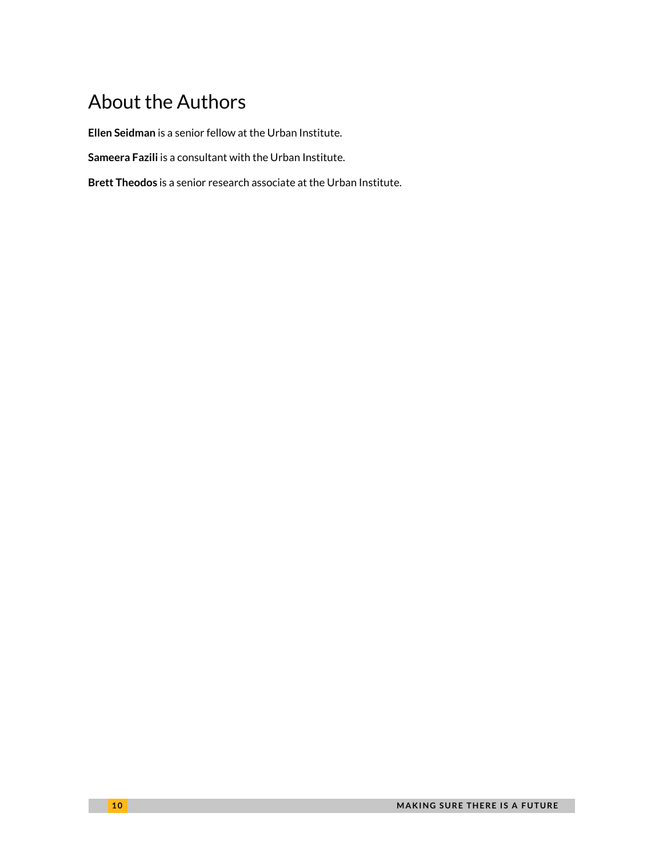# About the Authors

**Ellen Seidman** is a senior fellow at the Urban Institute.

**Sameera Fazili** is a consultant with the Urban Institute.

**Brett Theodos** is a senior research associate at the Urban Institute.